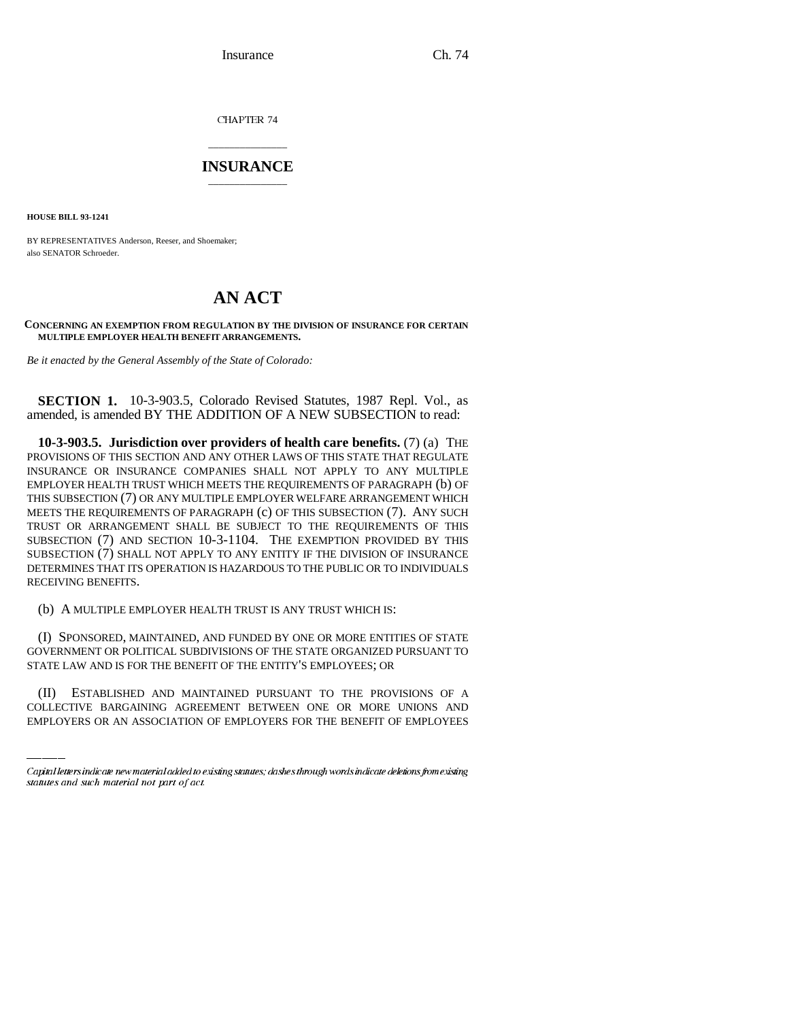Insurance Ch. 74

CHAPTER 74

## \_\_\_\_\_\_\_\_\_\_\_\_\_\_\_ **INSURANCE** \_\_\_\_\_\_\_\_\_\_\_\_\_\_\_

**HOUSE BILL 93-1241**

BY REPRESENTATIVES Anderson, Reeser, and Shoemaker; also SENATOR Schroeder.

## **AN ACT**

## **CONCERNING AN EXEMPTION FROM REGULATION BY THE DIVISION OF INSURANCE FOR CERTAIN MULTIPLE EMPLOYER HEALTH BENEFIT ARRANGEMENTS.**

*Be it enacted by the General Assembly of the State of Colorado:*

**SECTION 1.** 10-3-903.5, Colorado Revised Statutes, 1987 Repl. Vol., as amended, is amended BY THE ADDITION OF A NEW SUBSECTION to read:

**10-3-903.5. Jurisdiction over providers of health care benefits.** (7) (a) THE PROVISIONS OF THIS SECTION AND ANY OTHER LAWS OF THIS STATE THAT REGULATE INSURANCE OR INSURANCE COMPANIES SHALL NOT APPLY TO ANY MULTIPLE EMPLOYER HEALTH TRUST WHICH MEETS THE REQUIREMENTS OF PARAGRAPH (b) OF THIS SUBSECTION (7) OR ANY MULTIPLE EMPLOYER WELFARE ARRANGEMENT WHICH MEETS THE REQUIREMENTS OF PARAGRAPH (c) OF THIS SUBSECTION (7). ANY SUCH TRUST OR ARRANGEMENT SHALL BE SUBJECT TO THE REQUIREMENTS OF THIS SUBSECTION (7) AND SECTION 10-3-1104. THE EXEMPTION PROVIDED BY THIS SUBSECTION (7) SHALL NOT APPLY TO ANY ENTITY IF THE DIVISION OF INSURANCE DETERMINES THAT ITS OPERATION IS HAZARDOUS TO THE PUBLIC OR TO INDIVIDUALS RECEIVING BENEFITS.

(b) A MULTIPLE EMPLOYER HEALTH TRUST IS ANY TRUST WHICH IS:

STATE LAW AND IS FOR THE BENEFIT OF THE ENTITY'S EMPLOYEES; OR (I) SPONSORED, MAINTAINED, AND FUNDED BY ONE OR MORE ENTITIES OF STATE GOVERNMENT OR POLITICAL SUBDIVISIONS OF THE STATE ORGANIZED PURSUANT TO

(II) ESTABLISHED AND MAINTAINED PURSUANT TO THE PROVISIONS OF A COLLECTIVE BARGAINING AGREEMENT BETWEEN ONE OR MORE UNIONS AND EMPLOYERS OR AN ASSOCIATION OF EMPLOYERS FOR THE BENEFIT OF EMPLOYEES

Capital letters indicate new material added to existing statutes; dashes through words indicate deletions from existing statutes and such material not part of act.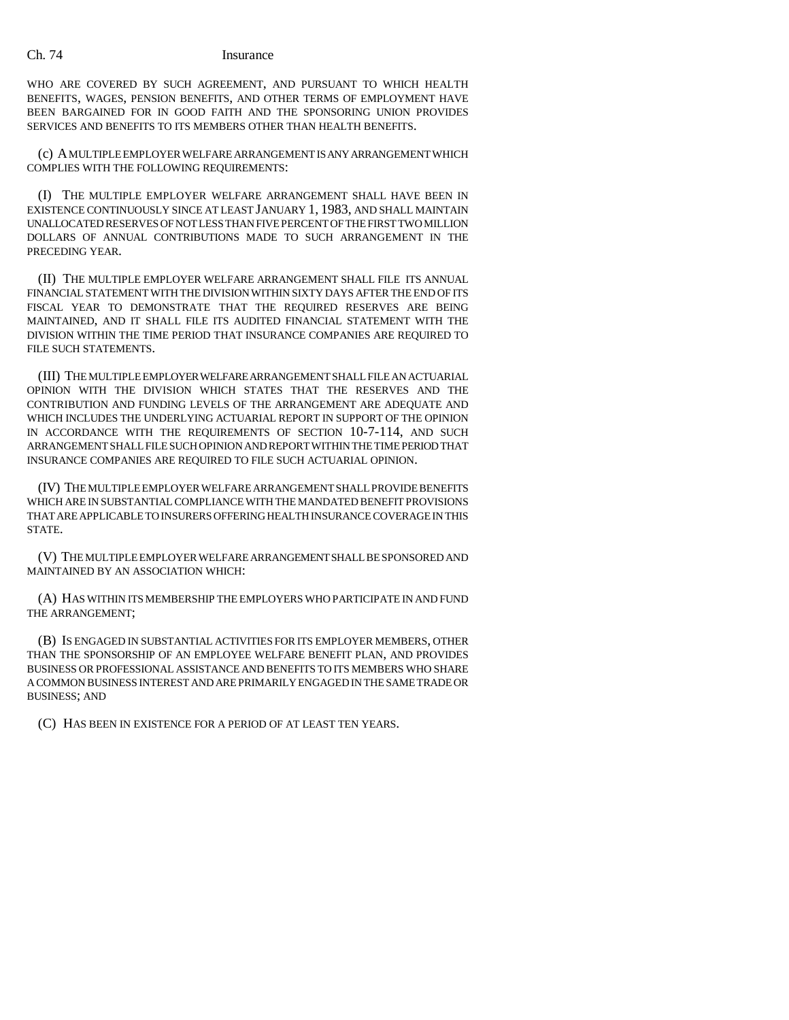## Ch. 74 Insurance

WHO ARE COVERED BY SUCH AGREEMENT, AND PURSUANT TO WHICH HEALTH BENEFITS, WAGES, PENSION BENEFITS, AND OTHER TERMS OF EMPLOYMENT HAVE BEEN BARGAINED FOR IN GOOD FAITH AND THE SPONSORING UNION PROVIDES SERVICES AND BENEFITS TO ITS MEMBERS OTHER THAN HEALTH BENEFITS.

(c) A MULTIPLE EMPLOYER WELFARE ARRANGEMENT IS ANY ARRANGEMENT WHICH COMPLIES WITH THE FOLLOWING REQUIREMENTS:

(I) THE MULTIPLE EMPLOYER WELFARE ARRANGEMENT SHALL HAVE BEEN IN EXISTENCE CONTINUOUSLY SINCE AT LEAST JANUARY 1, 1983, AND SHALL MAINTAIN UNALLOCATED RESERVES OF NOT LESS THAN FIVE PERCENT OF THE FIRST TWO MILLION DOLLARS OF ANNUAL CONTRIBUTIONS MADE TO SUCH ARRANGEMENT IN THE PRECEDING YEAR.

(II) THE MULTIPLE EMPLOYER WELFARE ARRANGEMENT SHALL FILE ITS ANNUAL FINANCIAL STATEMENT WITH THE DIVISION WITHIN SIXTY DAYS AFTER THE END OF ITS FISCAL YEAR TO DEMONSTRATE THAT THE REQUIRED RESERVES ARE BEING MAINTAINED, AND IT SHALL FILE ITS AUDITED FINANCIAL STATEMENT WITH THE DIVISION WITHIN THE TIME PERIOD THAT INSURANCE COMPANIES ARE REQUIRED TO FILE SUCH STATEMENTS.

(III) THE MULTIPLE EMPLOYER WELFARE ARRANGEMENT SHALL FILE AN ACTUARIAL OPINION WITH THE DIVISION WHICH STATES THAT THE RESERVES AND THE CONTRIBUTION AND FUNDING LEVELS OF THE ARRANGEMENT ARE ADEQUATE AND WHICH INCLUDES THE UNDERLYING ACTUARIAL REPORT IN SUPPORT OF THE OPINION IN ACCORDANCE WITH THE REQUIREMENTS OF SECTION 10-7-114, AND SUCH ARRANGEMENT SHALL FILE SUCH OPINION AND REPORT WITHIN THE TIME PERIOD THAT INSURANCE COMPANIES ARE REQUIRED TO FILE SUCH ACTUARIAL OPINION.

(IV) THE MULTIPLE EMPLOYER WELFARE ARRANGEMENT SHALL PROVIDE BENEFITS WHICH ARE IN SUBSTANTIAL COMPLIANCE WITH THE MANDATED BENEFIT PROVISIONS THAT ARE APPLICABLE TO INSURERS OFFERING HEALTH INSURANCE COVERAGE IN THIS STATE.

(V) THE MULTIPLE EMPLOYER WELFARE ARRANGEMENT SHALL BE SPONSORED AND MAINTAINED BY AN ASSOCIATION WHICH:

(A) HAS WITHIN ITS MEMBERSHIP THE EMPLOYERS WHO PARTICIPATE IN AND FUND THE ARRANGEMENT;

(B) IS ENGAGED IN SUBSTANTIAL ACTIVITIES FOR ITS EMPLOYER MEMBERS, OTHER THAN THE SPONSORSHIP OF AN EMPLOYEE WELFARE BENEFIT PLAN, AND PROVIDES BUSINESS OR PROFESSIONAL ASSISTANCE AND BENEFITS TO ITS MEMBERS WHO SHARE A COMMON BUSINESS INTEREST AND ARE PRIMARILY ENGAGED IN THE SAME TRADE OR BUSINESS; AND

(C) HAS BEEN IN EXISTENCE FOR A PERIOD OF AT LEAST TEN YEARS.